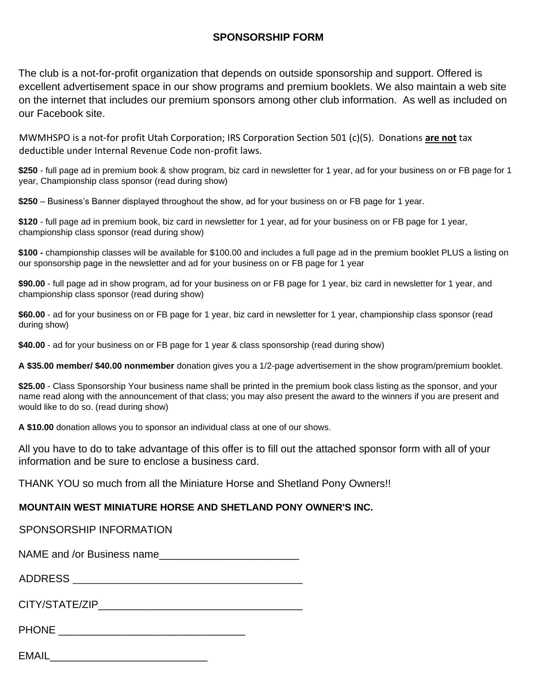## **SPONSORSHIP FORM**

The club is a not-for-profit organization that depends on outside sponsorship and support. Offered is excellent advertisement space in our show programs and premium booklets. We also maintain a web site on the internet that includes our premium sponsors among other club information. As well as included on our Facebook site.

MWMHSPO is a not-for profit Utah Corporation; IRS Corporation Section 501 (c)(5). Donations **are not** tax deductible under Internal Revenue Code non-profit laws.

**\$250** - full page ad in premium book & show program, biz card in newsletter for 1 year, ad for your business on or FB page for 1 year, Championship class sponsor (read during show)

**\$250** – Business's Banner displayed throughout the show, ad for your business on or FB page for 1 year.

**\$120** - full page ad in premium book, biz card in newsletter for 1 year, ad for your business on or FB page for 1 year, championship class sponsor (read during show)

**\$100 -** championship classes will be available for \$100.00 and includes a full page ad in the premium booklet PLUS a listing on our sponsorship page in the newsletter and ad for your business on or FB page for 1 year

**\$90.00** - full page ad in show program, ad for your business on or FB page for 1 year, biz card in newsletter for 1 year, and championship class sponsor (read during show)

**\$60.00** - ad for your business on or FB page for 1 year, biz card in newsletter for 1 year, championship class sponsor (read during show)

**\$40.00** - ad for your business on or FB page for 1 year & class sponsorship (read during show)

**A \$35.00 member/ \$40.00 nonmember** donation gives you a 1/2-page advertisement in the show program/premium booklet.

**\$25.00** - Class Sponsorship Your business name shall be printed in the premium book class listing as the sponsor, and your name read along with the announcement of that class; you may also present the award to the winners if you are present and would like to do so. (read during show)

**A \$10.00** donation allows you to sponsor an individual class at one of our shows.

All you have to do to take advantage of this offer is to fill out the attached sponsor form with all of your information and be sure to enclose a business card.

THANK YOU so much from all the Miniature Horse and Shetland Pony Owners!!

## **MOUNTAIN WEST MINIATURE HORSE AND SHETLAND PONY OWNER'S INC.**

SPONSORSHIP INFORMATION

NAME and /or Business name\_\_\_\_\_\_\_\_\_\_\_\_\_\_\_\_\_\_\_\_\_\_\_\_

ADDRESS \_\_\_\_\_\_\_\_\_\_\_\_\_\_\_\_\_\_\_\_\_\_\_\_\_\_\_\_\_\_\_\_\_\_\_\_\_\_\_\_\_\_\_\_\_\_\_\_

| CITY/STATE/ZIP |  |
|----------------|--|
|----------------|--|

PHONE \_\_\_\_\_\_\_\_\_\_\_\_\_\_\_\_\_\_\_\_\_\_\_\_\_\_\_\_\_\_\_\_

EMAIL\_\_\_\_\_\_\_\_\_\_\_\_\_\_\_\_\_\_\_\_\_\_\_\_\_\_\_